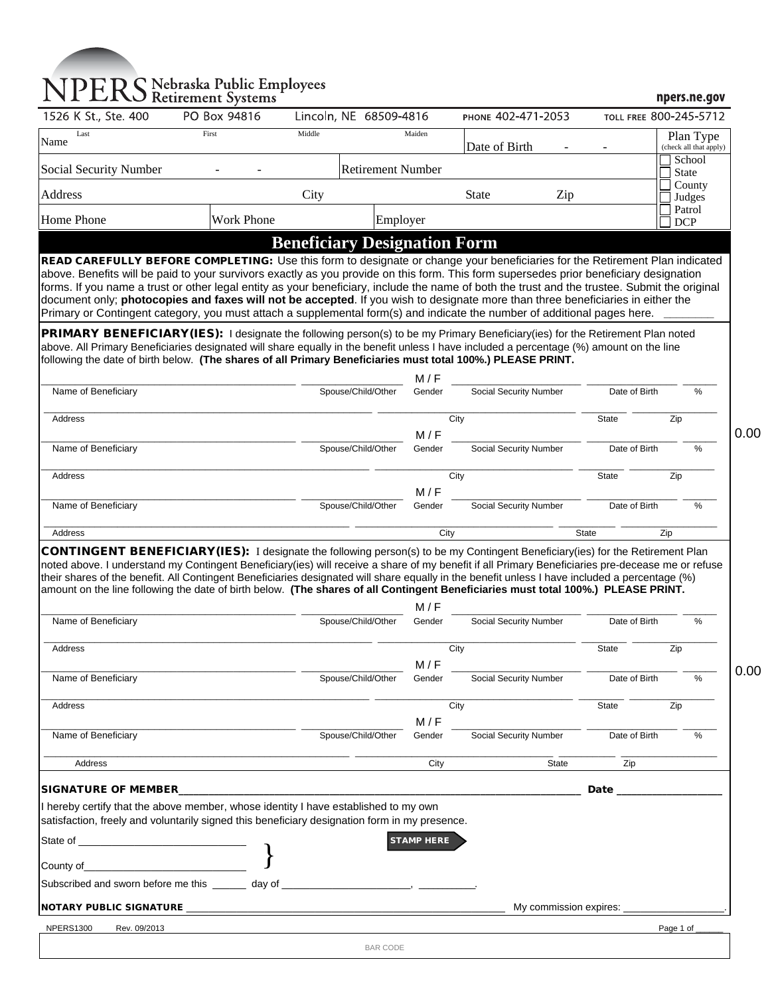# NPERS Nebraska Public Employees

|                                                                                                                                                                                                                                                                                                                                                                                                                                                                                                                                                                                                                                                                                                                                                                                                                        | PO Box 94816             | Lincoln, NE 68509-4816              |                   | PHONE 402-471-2053            | TOLL FREE 800-245-5712 |                                     |
|------------------------------------------------------------------------------------------------------------------------------------------------------------------------------------------------------------------------------------------------------------------------------------------------------------------------------------------------------------------------------------------------------------------------------------------------------------------------------------------------------------------------------------------------------------------------------------------------------------------------------------------------------------------------------------------------------------------------------------------------------------------------------------------------------------------------|--------------------------|-------------------------------------|-------------------|-------------------------------|------------------------|-------------------------------------|
| Last<br>Name                                                                                                                                                                                                                                                                                                                                                                                                                                                                                                                                                                                                                                                                                                                                                                                                           | First                    | Middle                              | Maiden            | Date of Birth                 |                        | Plan Type<br>(check all that apply) |
| Social Security Number                                                                                                                                                                                                                                                                                                                                                                                                                                                                                                                                                                                                                                                                                                                                                                                                 | <b>Retirement Number</b> |                                     |                   |                               |                        | School<br><b>State</b>              |
| Address                                                                                                                                                                                                                                                                                                                                                                                                                                                                                                                                                                                                                                                                                                                                                                                                                |                          | City                                |                   | <b>State</b><br>Zip           |                        | County<br>Judges                    |
| Home Phone                                                                                                                                                                                                                                                                                                                                                                                                                                                                                                                                                                                                                                                                                                                                                                                                             | <b>Work Phone</b>        | Employer                            |                   |                               |                        | Patrol<br><b>DCP</b>                |
|                                                                                                                                                                                                                                                                                                                                                                                                                                                                                                                                                                                                                                                                                                                                                                                                                        |                          | <b>Beneficiary Designation Form</b> |                   |                               |                        |                                     |
| READ CAREFULLY BEFORE COMPLETING: Use this form to designate or change your beneficiaries for the Retirement Plan indicated<br>above. Benefits will be paid to your survivors exactly as you provide on this form. This form supersedes prior beneficiary designation<br>forms. If you name a trust or other legal entity as your beneficiary, include the name of both the trust and the trustee. Submit the original<br>document only; photocopies and faxes will not be accepted. If you wish to designate more than three beneficiaries in either the<br>Primary or Contingent category, you must attach a supplemental form(s) and indicate the number of additional pages here.<br>PRIMARY BENEFICIARY(IES): I designate the following person(s) to be my Primary Beneficiary(ies) for the Retirement Plan noted |                          |                                     |                   |                               |                        |                                     |
| above. All Primary Beneficiaries designated will share equally in the benefit unless I have included a percentage (%) amount on the line<br>following the date of birth below. (The shares of all Primary Beneficiaries must total 100%.) PLEASE PRINT.                                                                                                                                                                                                                                                                                                                                                                                                                                                                                                                                                                |                          |                                     |                   |                               |                        |                                     |
|                                                                                                                                                                                                                                                                                                                                                                                                                                                                                                                                                                                                                                                                                                                                                                                                                        |                          |                                     | M/F               |                               |                        |                                     |
| Name of Beneficiary                                                                                                                                                                                                                                                                                                                                                                                                                                                                                                                                                                                                                                                                                                                                                                                                    |                          | Spouse/Child/Other                  | Gender            | Social Security Number        | Date of Birth          | %                                   |
| Address                                                                                                                                                                                                                                                                                                                                                                                                                                                                                                                                                                                                                                                                                                                                                                                                                |                          |                                     | City              |                               | State                  | Zip                                 |
| Name of Beneficiary                                                                                                                                                                                                                                                                                                                                                                                                                                                                                                                                                                                                                                                                                                                                                                                                    |                          | Spouse/Child/Other                  | M/F<br>Gender     | Social Security Number        | Date of Birth          | %                                   |
|                                                                                                                                                                                                                                                                                                                                                                                                                                                                                                                                                                                                                                                                                                                                                                                                                        |                          |                                     |                   |                               |                        |                                     |
| Address                                                                                                                                                                                                                                                                                                                                                                                                                                                                                                                                                                                                                                                                                                                                                                                                                |                          |                                     | City<br>M/F       |                               | State                  | Zip                                 |
| Name of Beneficiary                                                                                                                                                                                                                                                                                                                                                                                                                                                                                                                                                                                                                                                                                                                                                                                                    |                          | Spouse/Child/Other                  | Gender            | Social Security Number        | Date of Birth          | %                                   |
|                                                                                                                                                                                                                                                                                                                                                                                                                                                                                                                                                                                                                                                                                                                                                                                                                        |                          |                                     |                   |                               |                        |                                     |
| Address<br>CONTINGENT BENEFICIARY(IES): I designate the following person(s) to be my Contingent Beneficiary(ies) for the Retirement Plan                                                                                                                                                                                                                                                                                                                                                                                                                                                                                                                                                                                                                                                                               |                          |                                     | City              |                               | <b>State</b>           | Zip                                 |
| noted above. I understand my Contingent Beneficiary(ies) will receive a share of my benefit if all Primary Beneficiaries pre-decease me or refuse<br>their shares of the benefit. All Contingent Beneficiaries designated will share equally in the benefit unless I have included a percentage (%)<br>amount on the line following the date of birth below. (The shares of all Contingent Beneficiaries must total 100%.) PLEASE PRINT.                                                                                                                                                                                                                                                                                                                                                                               |                          |                                     | M / F             |                               |                        |                                     |
| Name of Beneficiary                                                                                                                                                                                                                                                                                                                                                                                                                                                                                                                                                                                                                                                                                                                                                                                                    |                          | Spouse/Child/Other                  | Gender            | Social Security Number        | Date of Birth          | $\%$                                |
| Address                                                                                                                                                                                                                                                                                                                                                                                                                                                                                                                                                                                                                                                                                                                                                                                                                |                          |                                     | City              |                               | State                  | Zip                                 |
| Name of Beneficiary                                                                                                                                                                                                                                                                                                                                                                                                                                                                                                                                                                                                                                                                                                                                                                                                    |                          | Spouse/Child/Other                  | M/F<br>Gender     | Social Security Number        | Date of Birth          | $\frac{0}{0}$                       |
| Address                                                                                                                                                                                                                                                                                                                                                                                                                                                                                                                                                                                                                                                                                                                                                                                                                |                          |                                     | City              |                               | State                  | Zip                                 |
|                                                                                                                                                                                                                                                                                                                                                                                                                                                                                                                                                                                                                                                                                                                                                                                                                        |                          |                                     | M/F               |                               |                        |                                     |
| Name of Beneficiary                                                                                                                                                                                                                                                                                                                                                                                                                                                                                                                                                                                                                                                                                                                                                                                                    |                          | Spouse/Child/Other                  | Gender            | <b>Social Security Number</b> | Date of Birth          | $\%$                                |
| Address                                                                                                                                                                                                                                                                                                                                                                                                                                                                                                                                                                                                                                                                                                                                                                                                                |                          |                                     | City              | State                         | $\overline{Zip}$       |                                     |
| <b>SIGNATURE OF MEMBER_</b>                                                                                                                                                                                                                                                                                                                                                                                                                                                                                                                                                                                                                                                                                                                                                                                            |                          |                                     |                   |                               |                        |                                     |
| I hereby certify that the above member, whose identity I have established to my own                                                                                                                                                                                                                                                                                                                                                                                                                                                                                                                                                                                                                                                                                                                                    |                          |                                     |                   |                               |                        |                                     |
| satisfaction, freely and voluntarily signed this beneficiary designation form in my presence.                                                                                                                                                                                                                                                                                                                                                                                                                                                                                                                                                                                                                                                                                                                          |                          |                                     |                   |                               |                        |                                     |
|                                                                                                                                                                                                                                                                                                                                                                                                                                                                                                                                                                                                                                                                                                                                                                                                                        |                          |                                     | <b>STAMP HERE</b> |                               |                        |                                     |
| <u> 1989 - Johann John Stone, mars et al.</u><br>County of                                                                                                                                                                                                                                                                                                                                                                                                                                                                                                                                                                                                                                                                                                                                                             |                          |                                     |                   |                               |                        |                                     |
|                                                                                                                                                                                                                                                                                                                                                                                                                                                                                                                                                                                                                                                                                                                                                                                                                        |                          |                                     |                   |                               |                        |                                     |
|                                                                                                                                                                                                                                                                                                                                                                                                                                                                                                                                                                                                                                                                                                                                                                                                                        |                          |                                     |                   | My commission expires: ____   |                        |                                     |